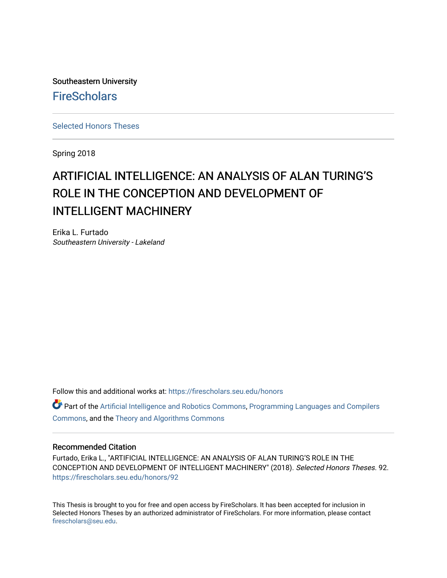Southeastern University **FireScholars** 

[Selected Honors Theses](https://firescholars.seu.edu/honors)

Spring 2018

# ARTIFICIAL INTELLIGENCE: AN ANALYSIS OF ALAN TURING'S ROLE IN THE CONCEPTION AND DEVELOPMENT OF INTELLIGENT MACHINERY

Erika L. Furtado Southeastern University - Lakeland

Follow this and additional works at: [https://firescholars.seu.edu/honors](https://firescholars.seu.edu/honors?utm_source=firescholars.seu.edu%2Fhonors%2F92&utm_medium=PDF&utm_campaign=PDFCoverPages)

 $\bullet$  Part of the [Artificial Intelligence and Robotics Commons](http://network.bepress.com/hgg/discipline/143?utm_source=firescholars.seu.edu%2Fhonors%2F92&utm_medium=PDF&utm_campaign=PDFCoverPages), [Programming Languages and Compilers](http://network.bepress.com/hgg/discipline/148?utm_source=firescholars.seu.edu%2Fhonors%2F92&utm_medium=PDF&utm_campaign=PDFCoverPages) [Commons](http://network.bepress.com/hgg/discipline/148?utm_source=firescholars.seu.edu%2Fhonors%2F92&utm_medium=PDF&utm_campaign=PDFCoverPages), and the [Theory and Algorithms Commons](http://network.bepress.com/hgg/discipline/151?utm_source=firescholars.seu.edu%2Fhonors%2F92&utm_medium=PDF&utm_campaign=PDFCoverPages) 

#### Recommended Citation

Furtado, Erika L., "ARTIFICIAL INTELLIGENCE: AN ANALYSIS OF ALAN TURING'S ROLE IN THE CONCEPTION AND DEVELOPMENT OF INTELLIGENT MACHINERY" (2018). Selected Honors Theses. 92. [https://firescholars.seu.edu/honors/92](https://firescholars.seu.edu/honors/92?utm_source=firescholars.seu.edu%2Fhonors%2F92&utm_medium=PDF&utm_campaign=PDFCoverPages) 

This Thesis is brought to you for free and open access by FireScholars. It has been accepted for inclusion in Selected Honors Theses by an authorized administrator of FireScholars. For more information, please contact [firescholars@seu.edu.](mailto:firescholars@seu.edu)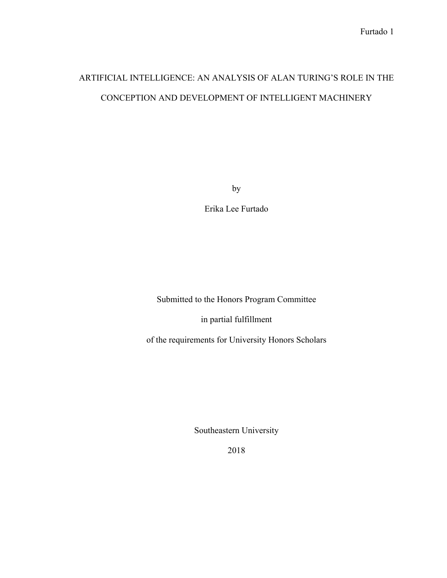## ARTIFICIAL INTELLIGENCE: AN ANALYSIS OF ALAN TURING'S ROLE IN THE CONCEPTION AND DEVELOPMENT OF INTELLIGENT MACHINERY

by

Erika Lee Furtado

Submitted to the Honors Program Committee

in partial fulfillment

of the requirements for University Honors Scholars

Southeastern University

2018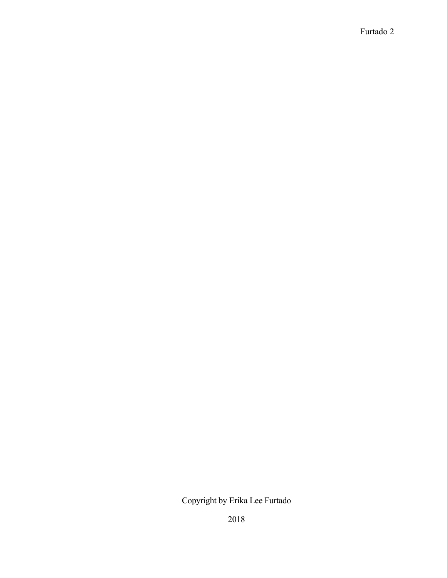Copyright by Erika Lee Furtado

2018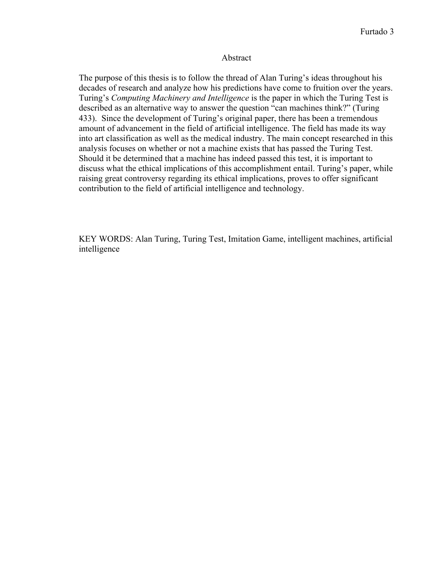#### Abstract

The purpose of this thesis is to follow the thread of Alan Turing's ideas throughout his decades of research and analyze how his predictions have come to fruition over the years. Turing's *Computing Machinery and Intelligence* is the paper in which the Turing Test is described as an alternative way to answer the question "can machines think?" (Turing 433). Since the development of Turing's original paper, there has been a tremendous amount of advancement in the field of artificial intelligence. The field has made its way into art classification as well as the medical industry. The main concept researched in this analysis focuses on whether or not a machine exists that has passed the Turing Test. Should it be determined that a machine has indeed passed this test, it is important to discuss what the ethical implications of this accomplishment entail. Turing's paper, while raising great controversy regarding its ethical implications, proves to offer significant contribution to the field of artificial intelligence and technology.

KEY WORDS: Alan Turing, Turing Test, Imitation Game, intelligent machines, artificial intelligence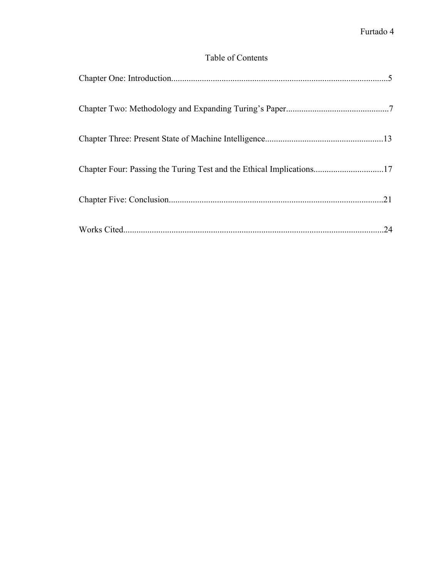### Table of Contents

| Chapter Four: Passing the Turing Test and the Ethical Implications17 |     |
|----------------------------------------------------------------------|-----|
|                                                                      | .21 |
|                                                                      | 24  |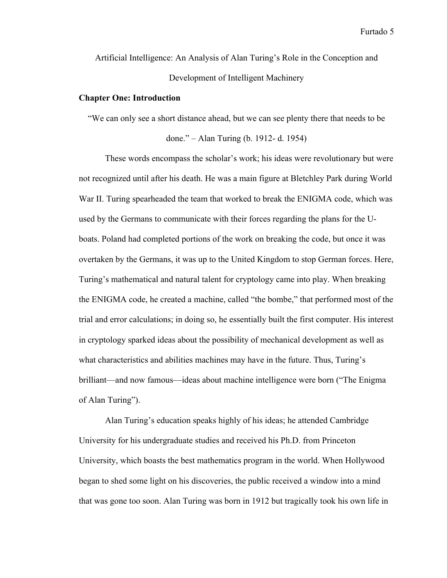Artificial Intelligence: An Analysis of Alan Turing's Role in the Conception and Development of Intelligent Machinery

#### **Chapter One: Introduction**

"We can only see a short distance ahead, but we can see plenty there that needs to be

done." – Alan Turing (b. 1912- d. 1954)

These words encompass the scholar's work; his ideas were revolutionary but were not recognized until after his death. He was a main figure at Bletchley Park during World War II. Turing spearheaded the team that worked to break the ENIGMA code, which was used by the Germans to communicate with their forces regarding the plans for the Uboats. Poland had completed portions of the work on breaking the code, but once it was overtaken by the Germans, it was up to the United Kingdom to stop German forces. Here, Turing's mathematical and natural talent for cryptology came into play. When breaking the ENIGMA code, he created a machine, called "the bombe," that performed most of the trial and error calculations; in doing so, he essentially built the first computer. His interest in cryptology sparked ideas about the possibility of mechanical development as well as what characteristics and abilities machines may have in the future. Thus, Turing's brilliant—and now famous—ideas about machine intelligence were born ("The Enigma of Alan Turing").

Alan Turing's education speaks highly of his ideas; he attended Cambridge University for his undergraduate studies and received his Ph.D. from Princeton University, which boasts the best mathematics program in the world. When Hollywood began to shed some light on his discoveries, the public received a window into a mind that was gone too soon. Alan Turing was born in 1912 but tragically took his own life in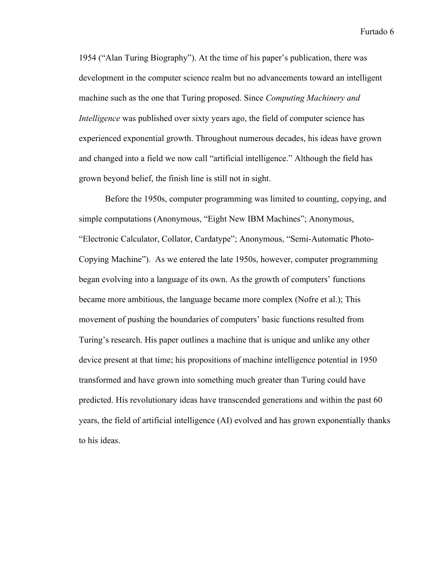1954 ("Alan Turing Biography"). At the time of his paper's publication, there was development in the computer science realm but no advancements toward an intelligent machine such as the one that Turing proposed. Since *Computing Machinery and Intelligence* was published over sixty years ago, the field of computer science has experienced exponential growth. Throughout numerous decades, his ideas have grown and changed into a field we now call "artificial intelligence." Although the field has grown beyond belief, the finish line is still not in sight.

Before the 1950s, computer programming was limited to counting, copying, and simple computations (Anonymous, "Eight New IBM Machines"; Anonymous, "Electronic Calculator, Collator, Cardatype"; Anonymous, "Semi-Automatic Photo-Copying Machine"). As we entered the late 1950s, however, computer programming began evolving into a language of its own. As the growth of computers' functions became more ambitious, the language became more complex (Nofre et al.); This movement of pushing the boundaries of computers' basic functions resulted from Turing's research. His paper outlines a machine that is unique and unlike any other device present at that time; his propositions of machine intelligence potential in 1950 transformed and have grown into something much greater than Turing could have predicted. His revolutionary ideas have transcended generations and within the past 60 years, the field of artificial intelligence (AI) evolved and has grown exponentially thanks to his ideas.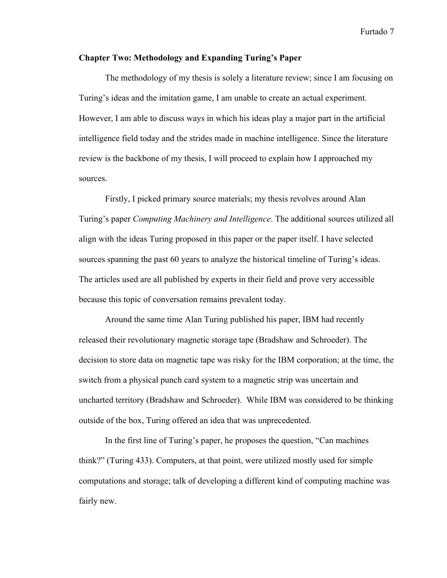#### **Chapter Two: Methodology and Expanding Turing's Paper**

The methodology of my thesis is solely a literature review; since I am focusing on Turing's ideas and the imitation game, I am unable to create an actual experiment. However, I am able to discuss ways in which his ideas play a major part in the artificial intelligence field today and the strides made in machine intelligence. Since the literature review is the backbone of my thesis, I will proceed to explain how I approached my sources.

Firstly, I picked primary source materials; my thesis revolves around Alan Turing's paper *Computing Machinery and Intelligence*. The additional sources utilized all align with the ideas Turing proposed in this paper or the paper itself. I have selected sources spanning the past 60 years to analyze the historical timeline of Turing's ideas. The articles used are all published by experts in their field and prove very accessible because this topic of conversation remains prevalent today.

Around the same time Alan Turing published his paper, IBM had recently released their revolutionary magnetic storage tape (Bradshaw and Schroeder). The decision to store data on magnetic tape was risky for the IBM corporation; at the time, the switch from a physical punch card system to a magnetic strip was uncertain and uncharted territory (Bradshaw and Schroeder). While IBM was considered to be thinking outside of the box, Turing offered an idea that was unprecedented.

In the first line of Turing's paper, he proposes the question, "Can machines think?" (Turing 433). Computers, at that point, were utilized mostly used for simple computations and storage; talk of developing a different kind of computing machine was fairly new.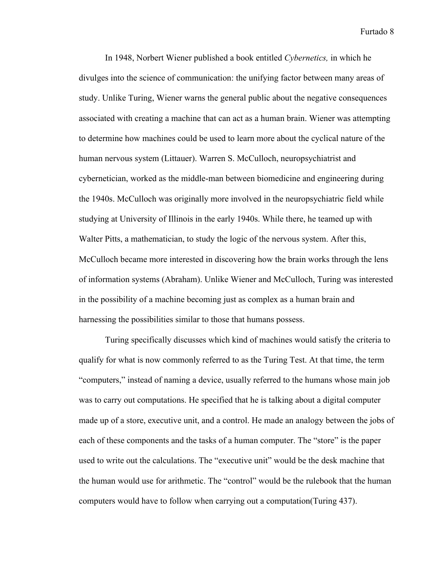In 1948, Norbert Wiener published a book entitled *Cybernetics,* in which he divulges into the science of communication: the unifying factor between many areas of study. Unlike Turing, Wiener warns the general public about the negative consequences associated with creating a machine that can act as a human brain. Wiener was attempting to determine how machines could be used to learn more about the cyclical nature of the human nervous system (Littauer). Warren S. McCulloch, neuropsychiatrist and cybernetician, worked as the middle-man between biomedicine and engineering during the 1940s. McCulloch was originally more involved in the neuropsychiatric field while studying at University of Illinois in the early 1940s. While there, he teamed up with Walter Pitts, a mathematician, to study the logic of the nervous system. After this, McCulloch became more interested in discovering how the brain works through the lens of information systems (Abraham). Unlike Wiener and McCulloch, Turing was interested in the possibility of a machine becoming just as complex as a human brain and harnessing the possibilities similar to those that humans possess.

Turing specifically discusses which kind of machines would satisfy the criteria to qualify for what is now commonly referred to as the Turing Test. At that time, the term "computers," instead of naming a device, usually referred to the humans whose main job was to carry out computations. He specified that he is talking about a digital computer made up of a store, executive unit, and a control. He made an analogy between the jobs of each of these components and the tasks of a human computer. The "store" is the paper used to write out the calculations. The "executive unit" would be the desk machine that the human would use for arithmetic. The "control" would be the rulebook that the human computers would have to follow when carrying out a computation(Turing 437).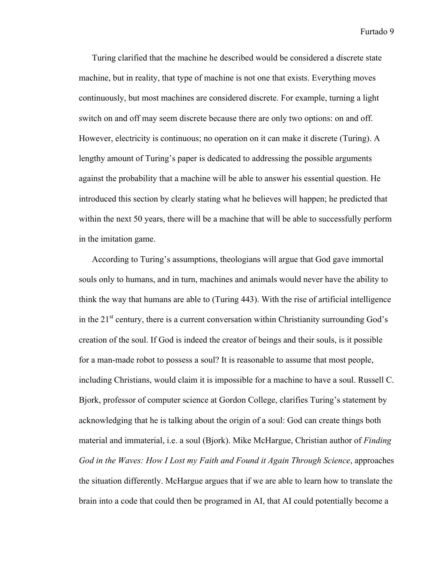Turing clarified that the machine he described would be considered a discrete state machine, but in reality, that type of machine is not one that exists. Everything moves continuously, but most machines are considered discrete. For example, turning a light switch on and off may seem discrete because there are only two options: on and off. However, electricity is continuous; no operation on it can make it discrete (Turing). A lengthy amount of Turing's paper is dedicated to addressing the possible arguments against the probability that a machine will be able to answer his essential question. He introduced this section by clearly stating what he believes will happen; he predicted that within the next 50 years, there will be a machine that will be able to successfully perform in the imitation game.

According to Turing's assumptions, theologians will argue that God gave immortal souls only to humans, and in turn, machines and animals would never have the ability to think the way that humans are able to (Turing 443). With the rise of artificial intelligence in the 21<sup>st</sup> century, there is a current conversation within Christianity surrounding God's creation of the soul. If God is indeed the creator of beings and their souls, is it possible for a man-made robot to possess a soul? It is reasonable to assume that most people, including Christians, would claim it is impossible for a machine to have a soul. Russell C. Bjork, professor of computer science at Gordon College, clarifies Turing's statement by acknowledging that he is talking about the origin of a soul: God can create things both material and immaterial, i.e. a soul (Bjork). Mike McHargue, Christian author of *Finding God in the Waves: How I Lost my Faith and Found it Again Through Science*, approaches the situation differently. McHargue argues that if we are able to learn how to translate the brain into a code that could then be programed in AI, that AI could potentially become a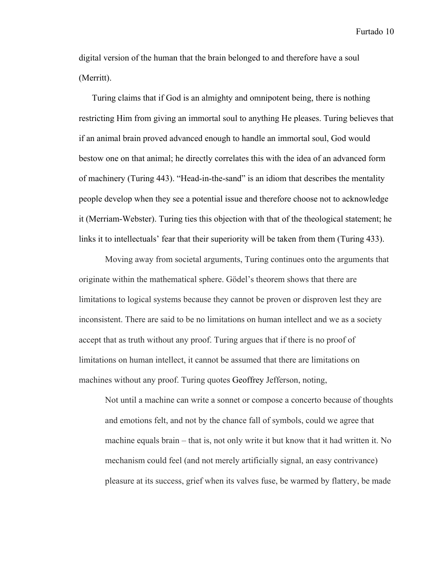digital version of the human that the brain belonged to and therefore have a soul (Merritt).

Turing claims that if God is an almighty and omnipotent being, there is nothing restricting Him from giving an immortal soul to anything He pleases. Turing believes that if an animal brain proved advanced enough to handle an immortal soul, God would bestow one on that animal; he directly correlates this with the idea of an advanced form of machinery (Turing 443). "Head-in-the-sand" is an idiom that describes the mentality people develop when they see a potential issue and therefore choose not to acknowledge it (Merriam-Webster). Turing ties this objection with that of the theological statement; he links it to intellectuals' fear that their superiority will be taken from them (Turing 433).

Moving away from societal arguments, Turing continues onto the arguments that originate within the mathematical sphere. Gödel's theorem shows that there are limitations to logical systems because they cannot be proven or disproven lest they are inconsistent. There are said to be no limitations on human intellect and we as a society accept that as truth without any proof. Turing argues that if there is no proof of limitations on human intellect, it cannot be assumed that there are limitations on machines without any proof. Turing quotes Geoffrey Jefferson, noting,

Not until a machine can write a sonnet or compose a concerto because of thoughts and emotions felt, and not by the chance fall of symbols, could we agree that machine equals brain – that is, not only write it but know that it had written it. No mechanism could feel (and not merely artificially signal, an easy contrivance) pleasure at its success, grief when its valves fuse, be warmed by flattery, be made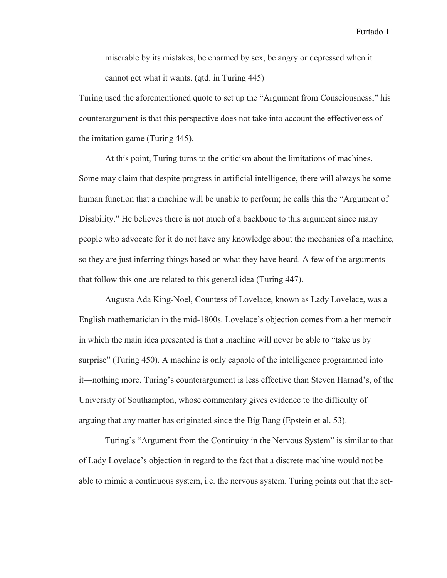miserable by its mistakes, be charmed by sex, be angry or depressed when it cannot get what it wants. (qtd. in Turing 445)

Turing used the aforementioned quote to set up the "Argument from Consciousness;" his counterargument is that this perspective does not take into account the effectiveness of the imitation game (Turing 445).

At this point, Turing turns to the criticism about the limitations of machines. Some may claim that despite progress in artificial intelligence, there will always be some human function that a machine will be unable to perform; he calls this the "Argument of Disability." He believes there is not much of a backbone to this argument since many people who advocate for it do not have any knowledge about the mechanics of a machine, so they are just inferring things based on what they have heard. A few of the arguments that follow this one are related to this general idea (Turing 447).

Augusta Ada King-Noel, Countess of Lovelace, known as Lady Lovelace, was a English mathematician in the mid-1800s. Lovelace's objection comes from a her memoir in which the main idea presented is that a machine will never be able to "take us by surprise" (Turing 450). A machine is only capable of the intelligence programmed into it—nothing more. Turing's counterargument is less effective than Steven Harnad's, of the University of Southampton, whose commentary gives evidence to the difficulty of arguing that any matter has originated since the Big Bang (Epstein et al. 53).

Turing's "Argument from the Continuity in the Nervous System" is similar to that of Lady Lovelace's objection in regard to the fact that a discrete machine would not be able to mimic a continuous system, i.e. the nervous system. Turing points out that the set-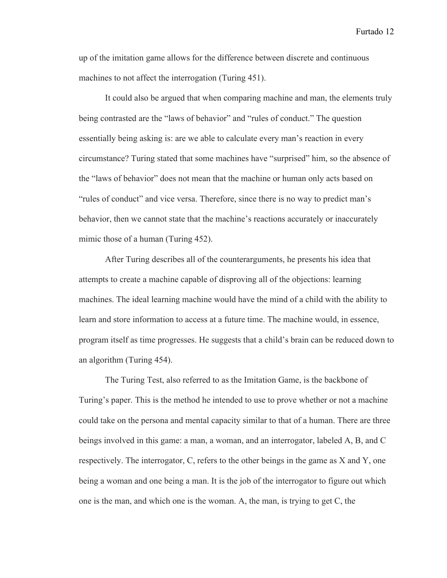up of the imitation game allows for the difference between discrete and continuous machines to not affect the interrogation (Turing 451).

It could also be argued that when comparing machine and man, the elements truly being contrasted are the "laws of behavior" and "rules of conduct." The question essentially being asking is: are we able to calculate every man's reaction in every circumstance? Turing stated that some machines have "surprised" him, so the absence of the "laws of behavior" does not mean that the machine or human only acts based on "rules of conduct" and vice versa. Therefore, since there is no way to predict man's behavior, then we cannot state that the machine's reactions accurately or inaccurately mimic those of a human (Turing 452).

After Turing describes all of the counterarguments, he presents his idea that attempts to create a machine capable of disproving all of the objections: learning machines. The ideal learning machine would have the mind of a child with the ability to learn and store information to access at a future time. The machine would, in essence, program itself as time progresses. He suggests that a child's brain can be reduced down to an algorithm (Turing 454).

The Turing Test, also referred to as the Imitation Game, is the backbone of Turing's paper. This is the method he intended to use to prove whether or not a machine could take on the persona and mental capacity similar to that of a human. There are three beings involved in this game: a man, a woman, and an interrogator, labeled A, B, and C respectively. The interrogator, C, refers to the other beings in the game as X and Y, one being a woman and one being a man. It is the job of the interrogator to figure out which one is the man, and which one is the woman. A, the man, is trying to get C, the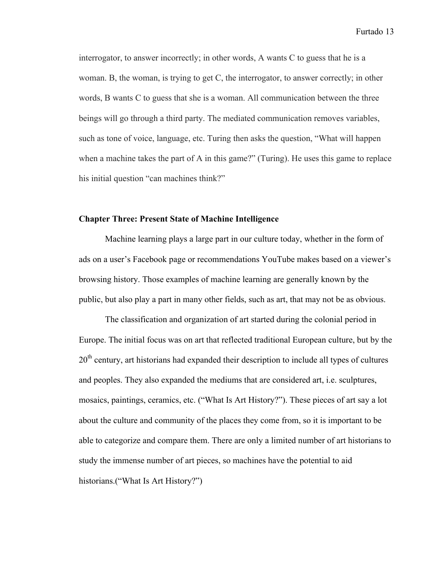interrogator, to answer incorrectly; in other words, A wants C to guess that he is a woman. B, the woman, is trying to get C, the interrogator, to answer correctly; in other words, B wants C to guess that she is a woman. All communication between the three beings will go through a third party. The mediated communication removes variables, such as tone of voice, language, etc. Turing then asks the question, "What will happen when a machine takes the part of A in this game?" (Turing). He uses this game to replace his initial question "can machines think?"

#### **Chapter Three: Present State of Machine Intelligence**

Machine learning plays a large part in our culture today, whether in the form of ads on a user's Facebook page or recommendations YouTube makes based on a viewer's browsing history. Those examples of machine learning are generally known by the public, but also play a part in many other fields, such as art, that may not be as obvious.

The classification and organization of art started during the colonial period in Europe. The initial focus was on art that reflected traditional European culture, but by the  $20<sup>th</sup>$  century, art historians had expanded their description to include all types of cultures and peoples. They also expanded the mediums that are considered art, i.e. sculptures, mosaics, paintings, ceramics, etc. ("What Is Art History?"). These pieces of art say a lot about the culture and community of the places they come from, so it is important to be able to categorize and compare them. There are only a limited number of art historians to study the immense number of art pieces, so machines have the potential to aid historians.("What Is Art History?")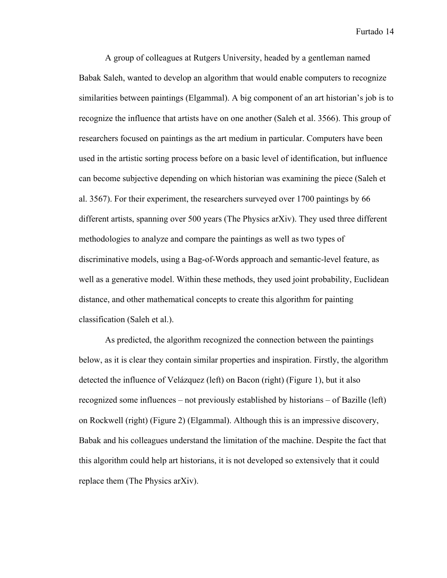A group of colleagues at Rutgers University, headed by a gentleman named Babak Saleh, wanted to develop an algorithm that would enable computers to recognize similarities between paintings (Elgammal). A big component of an art historian's job is to recognize the influence that artists have on one another (Saleh et al. 3566). This group of researchers focused on paintings as the art medium in particular. Computers have been used in the artistic sorting process before on a basic level of identification, but influence can become subjective depending on which historian was examining the piece (Saleh et al. 3567). For their experiment, the researchers surveyed over 1700 paintings by 66 different artists, spanning over 500 years (The Physics arXiv). They used three different methodologies to analyze and compare the paintings as well as two types of discriminative models, using a Bag-of-Words approach and semantic-level feature, as well as a generative model. Within these methods, they used joint probability, Euclidean distance, and other mathematical concepts to create this algorithm for painting classification (Saleh et al.).

As predicted, the algorithm recognized the connection between the paintings below, as it is clear they contain similar properties and inspiration. Firstly, the algorithm detected the influence of Velázquez (left) on Bacon (right) (Figure 1), but it also recognized some influences – not previously established by historians – of Bazille (left) on Rockwell (right) (Figure 2) (Elgammal). Although this is an impressive discovery, Babak and his colleagues understand the limitation of the machine. Despite the fact that this algorithm could help art historians, it is not developed so extensively that it could replace them (The Physics arXiv).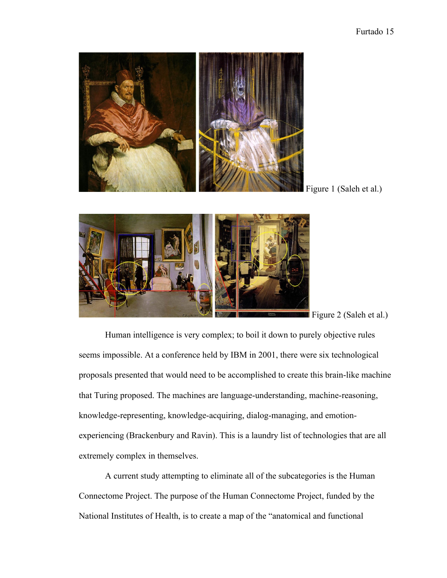

Figure 1 (Saleh et al.)



Figure 2 (Saleh et al.)

Human intelligence is very complex; to boil it down to purely objective rules seems impossible. At a conference held by IBM in 2001, there were six technological proposals presented that would need to be accomplished to create this brain-like machine that Turing proposed. The machines are language-understanding, machine-reasoning, knowledge-representing, knowledge-acquiring, dialog-managing, and emotionexperiencing (Brackenbury and Ravin). This is a laundry list of technologies that are all extremely complex in themselves.

A current study attempting to eliminate all of the subcategories is the Human Connectome Project. The purpose of the Human Connectome Project, funded by the National Institutes of Health, is to create a map of the "anatomical and functional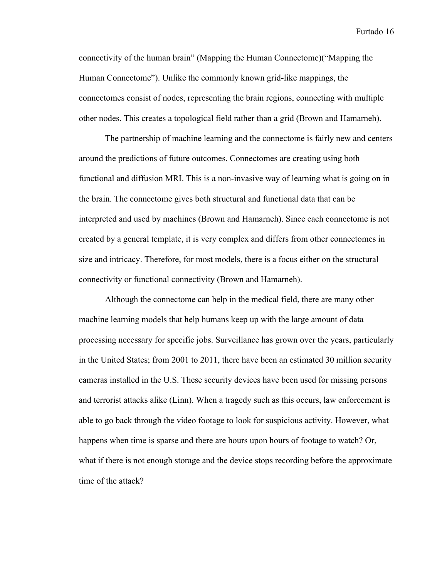connectivity of the human brain" (Mapping the Human Connectome)("Mapping the Human Connectome"). Unlike the commonly known grid-like mappings, the connectomes consist of nodes, representing the brain regions, connecting with multiple other nodes. This creates a topological field rather than a grid (Brown and Hamarneh).

The partnership of machine learning and the connectome is fairly new and centers around the predictions of future outcomes. Connectomes are creating using both functional and diffusion MRI. This is a non-invasive way of learning what is going on in the brain. The connectome gives both structural and functional data that can be interpreted and used by machines (Brown and Hamarneh). Since each connectome is not created by a general template, it is very complex and differs from other connectomes in size and intricacy. Therefore, for most models, there is a focus either on the structural connectivity or functional connectivity (Brown and Hamarneh).

Although the connectome can help in the medical field, there are many other machine learning models that help humans keep up with the large amount of data processing necessary for specific jobs. Surveillance has grown over the years, particularly in the United States; from 2001 to 2011, there have been an estimated 30 million security cameras installed in the U.S. These security devices have been used for missing persons and terrorist attacks alike (Linn). When a tragedy such as this occurs, law enforcement is able to go back through the video footage to look for suspicious activity. However, what happens when time is sparse and there are hours upon hours of footage to watch? Or, what if there is not enough storage and the device stops recording before the approximate time of the attack?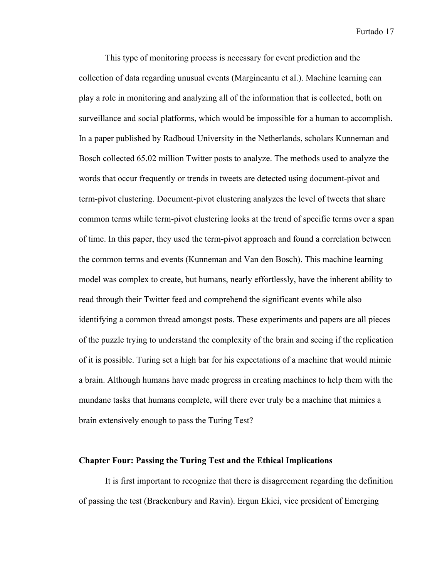This type of monitoring process is necessary for event prediction and the collection of data regarding unusual events (Margineantu et al.). Machine learning can play a role in monitoring and analyzing all of the information that is collected, both on surveillance and social platforms, which would be impossible for a human to accomplish. In a paper published by Radboud University in the Netherlands, scholars Kunneman and Bosch collected 65.02 million Twitter posts to analyze. The methods used to analyze the words that occur frequently or trends in tweets are detected using document-pivot and term-pivot clustering. Document-pivot clustering analyzes the level of tweets that share common terms while term-pivot clustering looks at the trend of specific terms over a span of time. In this paper, they used the term-pivot approach and found a correlation between the common terms and events (Kunneman and Van den Bosch). This machine learning model was complex to create, but humans, nearly effortlessly, have the inherent ability to read through their Twitter feed and comprehend the significant events while also identifying a common thread amongst posts. These experiments and papers are all pieces of the puzzle trying to understand the complexity of the brain and seeing if the replication of it is possible. Turing set a high bar for his expectations of a machine that would mimic a brain. Although humans have made progress in creating machines to help them with the mundane tasks that humans complete, will there ever truly be a machine that mimics a brain extensively enough to pass the Turing Test?

#### **Chapter Four: Passing the Turing Test and the Ethical Implications**

It is first important to recognize that there is disagreement regarding the definition of passing the test (Brackenbury and Ravin). Ergun Ekici, vice president of Emerging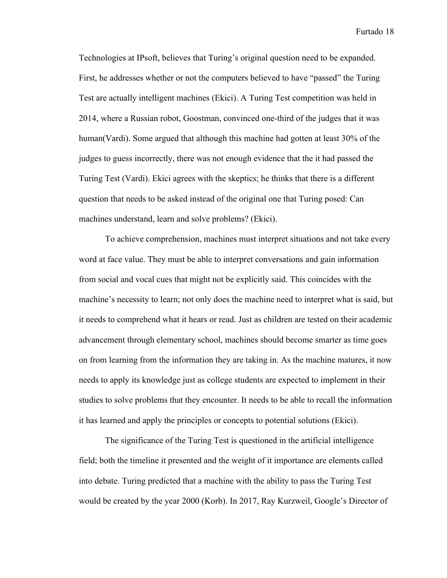Technologies at IPsoft, believes that Turing's original question need to be expanded. First, he addresses whether or not the computers believed to have "passed" the Turing Test are actually intelligent machines (Ekici). A Turing Test competition was held in 2014, where a Russian robot, Goostman, convinced one-third of the judges that it was human(Vardi). Some argued that although this machine had gotten at least 30% of the judges to guess incorrectly, there was not enough evidence that the it had passed the Turing Test (Vardi). Ekici agrees with the skeptics; he thinks that there is a different question that needs to be asked instead of the original one that Turing posed: Can machines understand, learn and solve problems? (Ekici).

To achieve comprehension, machines must interpret situations and not take every word at face value. They must be able to interpret conversations and gain information from social and vocal cues that might not be explicitly said. This coincides with the machine's necessity to learn; not only does the machine need to interpret what is said, but it needs to comprehend what it hears or read. Just as children are tested on their academic advancement through elementary school, machines should become smarter as time goes on from learning from the information they are taking in. As the machine matures, it now needs to apply its knowledge just as college students are expected to implement in their studies to solve problems that they encounter. It needs to be able to recall the information it has learned and apply the principles or concepts to potential solutions (Ekici).

The significance of the Turing Test is questioned in the artificial intelligence field; both the timeline it presented and the weight of it importance are elements called into debate. Turing predicted that a machine with the ability to pass the Turing Test would be created by the year 2000 (Korb). In 2017, Ray Kurzweil, Google's Director of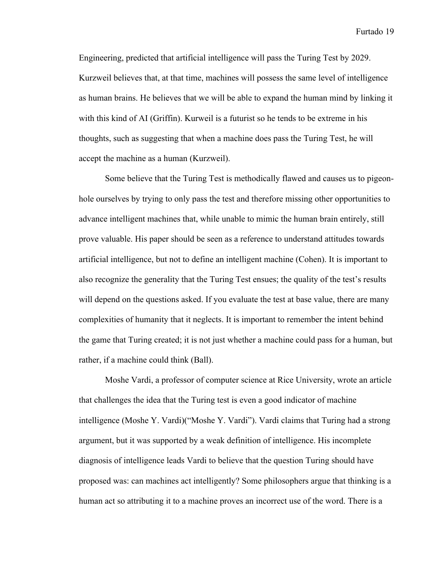Engineering, predicted that artificial intelligence will pass the Turing Test by 2029. Kurzweil believes that, at that time, machines will possess the same level of intelligence as human brains. He believes that we will be able to expand the human mind by linking it with this kind of AI (Griffin). Kurweil is a futurist so he tends to be extreme in his thoughts, such as suggesting that when a machine does pass the Turing Test, he will accept the machine as a human (Kurzweil).

Some believe that the Turing Test is methodically flawed and causes us to pigeonhole ourselves by trying to only pass the test and therefore missing other opportunities to advance intelligent machines that, while unable to mimic the human brain entirely, still prove valuable. His paper should be seen as a reference to understand attitudes towards artificial intelligence, but not to define an intelligent machine (Cohen). It is important to also recognize the generality that the Turing Test ensues; the quality of the test's results will depend on the questions asked. If you evaluate the test at base value, there are many complexities of humanity that it neglects. It is important to remember the intent behind the game that Turing created; it is not just whether a machine could pass for a human, but rather, if a machine could think (Ball).

Moshe Vardi, a professor of computer science at Rice University, wrote an article that challenges the idea that the Turing test is even a good indicator of machine intelligence (Moshe Y. Vardi)("Moshe Y. Vardi"). Vardi claims that Turing had a strong argument, but it was supported by a weak definition of intelligence. His incomplete diagnosis of intelligence leads Vardi to believe that the question Turing should have proposed was: can machines act intelligently? Some philosophers argue that thinking is a human act so attributing it to a machine proves an incorrect use of the word. There is a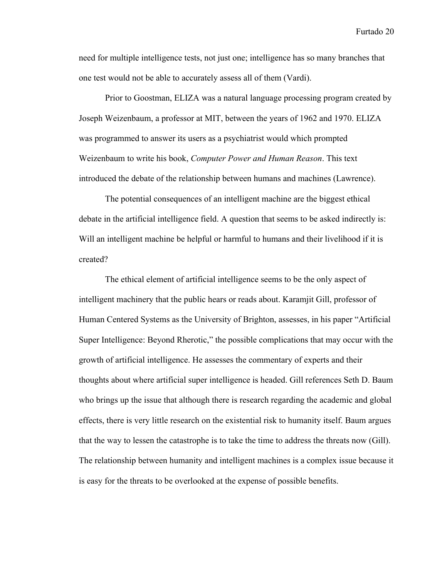need for multiple intelligence tests, not just one; intelligence has so many branches that one test would not be able to accurately assess all of them (Vardi).

Prior to Goostman, ELIZA was a natural language processing program created by Joseph Weizenbaum, a professor at MIT, between the years of 1962 and 1970. ELIZA was programmed to answer its users as a psychiatrist would which prompted Weizenbaum to write his book, *Computer Power and Human Reason*. This text introduced the debate of the relationship between humans and machines (Lawrence).

The potential consequences of an intelligent machine are the biggest ethical debate in the artificial intelligence field. A question that seems to be asked indirectly is: Will an intelligent machine be helpful or harmful to humans and their livelihood if it is created?

The ethical element of artificial intelligence seems to be the only aspect of intelligent machinery that the public hears or reads about. Karamjit Gill, professor of Human Centered Systems as the University of Brighton, assesses, in his paper "Artificial Super Intelligence: Beyond Rherotic," the possible complications that may occur with the growth of artificial intelligence. He assesses the commentary of experts and their thoughts about where artificial super intelligence is headed. Gill references Seth D. Baum who brings up the issue that although there is research regarding the academic and global effects, there is very little research on the existential risk to humanity itself. Baum argues that the way to lessen the catastrophe is to take the time to address the threats now (Gill). The relationship between humanity and intelligent machines is a complex issue because it is easy for the threats to be overlooked at the expense of possible benefits.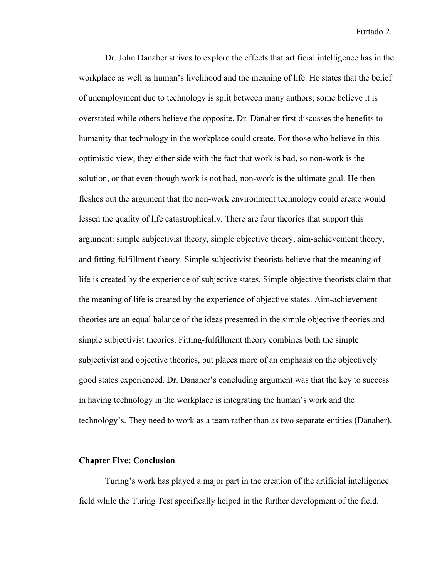Dr. John Danaher strives to explore the effects that artificial intelligence has in the workplace as well as human's livelihood and the meaning of life. He states that the belief of unemployment due to technology is split between many authors; some believe it is overstated while others believe the opposite. Dr. Danaher first discusses the benefits to humanity that technology in the workplace could create. For those who believe in this optimistic view, they either side with the fact that work is bad, so non-work is the solution, or that even though work is not bad, non-work is the ultimate goal. He then fleshes out the argument that the non-work environment technology could create would lessen the quality of life catastrophically. There are four theories that support this argument: simple subjectivist theory, simple objective theory, aim-achievement theory, and fitting-fulfillment theory. Simple subjectivist theorists believe that the meaning of life is created by the experience of subjective states. Simple objective theorists claim that the meaning of life is created by the experience of objective states. Aim-achievement theories are an equal balance of the ideas presented in the simple objective theories and simple subjectivist theories. Fitting-fulfillment theory combines both the simple subjectivist and objective theories, but places more of an emphasis on the objectively good states experienced. Dr. Danaher's concluding argument was that the key to success in having technology in the workplace is integrating the human's work and the technology's. They need to work as a team rather than as two separate entities (Danaher).

#### **Chapter Five: Conclusion**

Turing's work has played a major part in the creation of the artificial intelligence field while the Turing Test specifically helped in the further development of the field.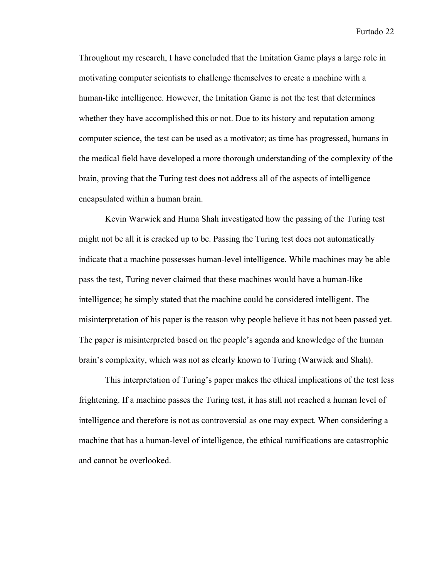Throughout my research, I have concluded that the Imitation Game plays a large role in motivating computer scientists to challenge themselves to create a machine with a human-like intelligence. However, the Imitation Game is not the test that determines whether they have accomplished this or not. Due to its history and reputation among computer science, the test can be used as a motivator; as time has progressed, humans in the medical field have developed a more thorough understanding of the complexity of the brain, proving that the Turing test does not address all of the aspects of intelligence encapsulated within a human brain.

Kevin Warwick and Huma Shah investigated how the passing of the Turing test might not be all it is cracked up to be. Passing the Turing test does not automatically indicate that a machine possesses human-level intelligence. While machines may be able pass the test, Turing never claimed that these machines would have a human-like intelligence; he simply stated that the machine could be considered intelligent. The misinterpretation of his paper is the reason why people believe it has not been passed yet. The paper is misinterpreted based on the people's agenda and knowledge of the human brain's complexity, which was not as clearly known to Turing (Warwick and Shah).

This interpretation of Turing's paper makes the ethical implications of the test less frightening. If a machine passes the Turing test, it has still not reached a human level of intelligence and therefore is not as controversial as one may expect. When considering a machine that has a human-level of intelligence, the ethical ramifications are catastrophic and cannot be overlooked.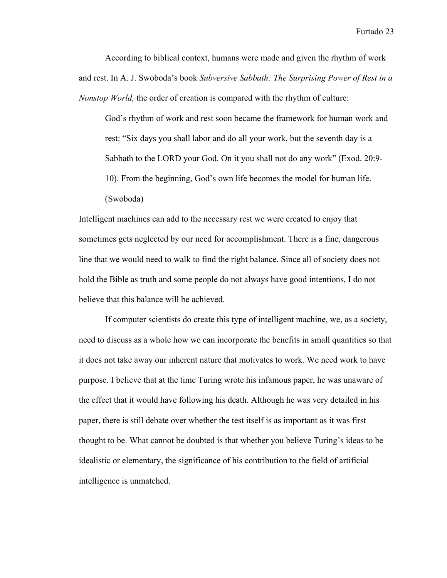According to biblical context, humans were made and given the rhythm of work and rest. In A. J. Swoboda's book *Subversive Sabbath: The Surprising Power of Rest in a Nonstop World,* the order of creation is compared with the rhythm of culture:

God's rhythm of work and rest soon became the framework for human work and rest: "Six days you shall labor and do all your work, but the seventh day is a Sabbath to the LORD your God. On it you shall not do any work" (Exod. 20:9- 10). From the beginning, God's own life becomes the model for human life.

(Swoboda)

Intelligent machines can add to the necessary rest we were created to enjoy that sometimes gets neglected by our need for accomplishment. There is a fine, dangerous line that we would need to walk to find the right balance. Since all of society does not hold the Bible as truth and some people do not always have good intentions, I do not believe that this balance will be achieved.

If computer scientists do create this type of intelligent machine, we, as a society, need to discuss as a whole how we can incorporate the benefits in small quantities so that it does not take away our inherent nature that motivates to work. We need work to have purpose. I believe that at the time Turing wrote his infamous paper, he was unaware of the effect that it would have following his death. Although he was very detailed in his paper, there is still debate over whether the test itself is as important as it was first thought to be. What cannot be doubted is that whether you believe Turing's ideas to be idealistic or elementary, the significance of his contribution to the field of artificial intelligence is unmatched.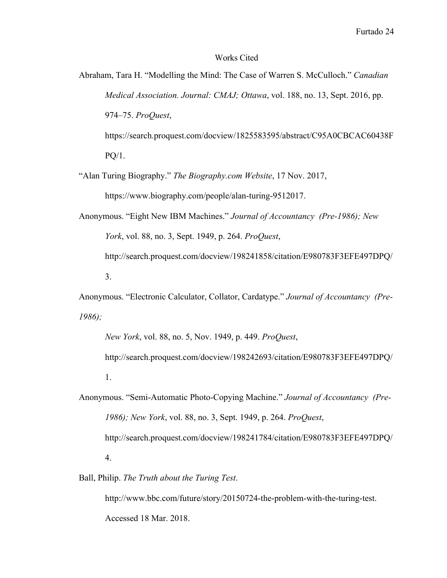#### Works Cited

Abraham, Tara H. "Modelling the Mind: The Case of Warren S. McCulloch." *Canadian Medical Association. Journal: CMAJ; Ottawa*, vol. 188, no. 13, Sept. 2016, pp. 974–75. *ProQuest*, https://search.proquest.com/docview/1825583595/abstract/C95A0CBCAC60438F

 $PQ/1$ .

"Alan Turing Biography." *The Biography.com Website*, 17 Nov. 2017,

https://www.biography.com/people/alan-turing-9512017.

Anonymous. "Eight New IBM Machines." *Journal of Accountancy (Pre-1986); New York*, vol. 88, no. 3, Sept. 1949, p. 264. *ProQuest*, http://search.proquest.com/docview/198241858/citation/E980783F3EFE497DPQ/ 3.

Anonymous. "Electronic Calculator, Collator, Cardatype." *Journal of Accountancy (Pre-1986);* 

*New York*, vol. 88, no. 5, Nov. 1949, p. 449. *ProQuest*, http://search.proquest.com/docview/198242693/citation/E980783F3EFE497DPQ/ 1.

Anonymous. "Semi-Automatic Photo-Copying Machine." *Journal of Accountancy (Pre-1986); New York*, vol. 88, no. 3, Sept. 1949, p. 264. *ProQuest*, http://search.proquest.com/docview/198241784/citation/E980783F3EFE497DPQ/ 4.

Ball, Philip. *The Truth about the Turing Test*.

http://www.bbc.com/future/story/20150724-the-problem-with-the-turing-test. Accessed 18 Mar. 2018.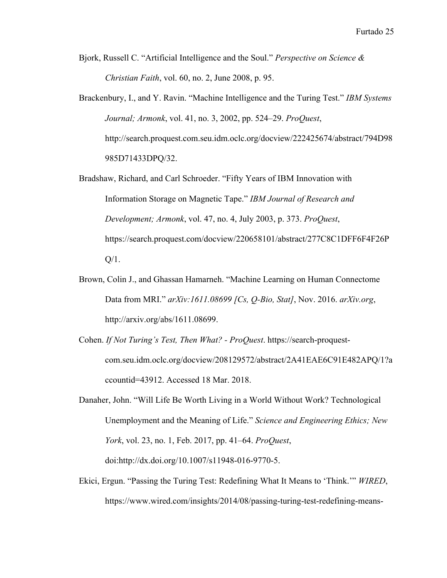- Bjork, Russell C. "Artificial Intelligence and the Soul." *Perspective on Science & Christian Faith*, vol. 60, no. 2, June 2008, p. 95.
- Brackenbury, I., and Y. Ravin. "Machine Intelligence and the Turing Test." *IBM Systems Journal; Armonk*, vol. 41, no. 3, 2002, pp. 524–29. *ProQuest*, http://search.proquest.com.seu.idm.oclc.org/docview/222425674/abstract/794D98 985D71433DPQ/32.
- Bradshaw, Richard, and Carl Schroeder. "Fifty Years of IBM Innovation with Information Storage on Magnetic Tape." *IBM Journal of Research and Development; Armonk*, vol. 47, no. 4, July 2003, p. 373. *ProQuest*, https://search.proquest.com/docview/220658101/abstract/277C8C1DFF6F4F26P  $Q/1$ .
- Brown, Colin J., and Ghassan Hamarneh. "Machine Learning on Human Connectome Data from MRI." *arXiv:1611.08699 [Cs, Q-Bio, Stat]*, Nov. 2016. *arXiv.org*, http://arxiv.org/abs/1611.08699.
- Cohen. *If Not Turing's Test, Then What? - ProQuest*. https://search-proquestcom.seu.idm.oclc.org/docview/208129572/abstract/2A41EAE6C91E482APQ/1?a ccountid=43912. Accessed 18 Mar. 2018.
- Danaher, John. "Will Life Be Worth Living in a World Without Work? Technological Unemployment and the Meaning of Life." *Science and Engineering Ethics; New York*, vol. 23, no. 1, Feb. 2017, pp. 41–64. *ProQuest*, doi:http://dx.doi.org/10.1007/s11948-016-9770-5.
- Ekici, Ergun. "Passing the Turing Test: Redefining What It Means to 'Think.'" *WIRED*, https://www.wired.com/insights/2014/08/passing-turing-test-redefining-means-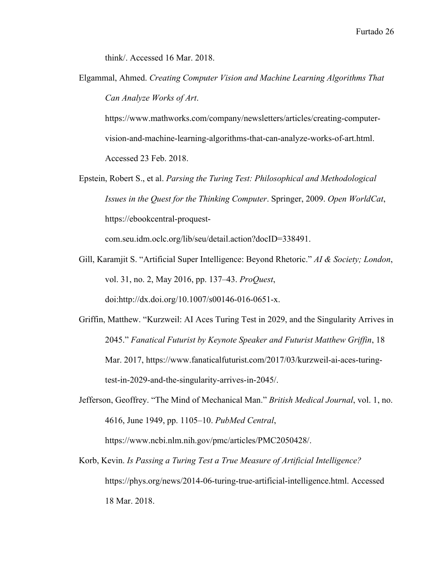think/. Accessed 16 Mar. 2018.

Elgammal, Ahmed. *Creating Computer Vision and Machine Learning Algorithms That Can Analyze Works of Art*.

https://www.mathworks.com/company/newsletters/articles/creating-computervision-and-machine-learning-algorithms-that-can-analyze-works-of-art.html. Accessed 23 Feb. 2018.

Epstein, Robert S., et al. *Parsing the Turing Test: Philosophical and Methodological Issues in the Quest for the Thinking Computer*. Springer, 2009. *Open WorldCat*, https://ebookcentral-proquest-

com.seu.idm.oclc.org/lib/seu/detail.action?docID=338491.

- Gill, Karamjit S. "Artificial Super Intelligence: Beyond Rhetoric." *AI & Society; London*, vol. 31, no. 2, May 2016, pp. 137–43. *ProQuest*, doi:http://dx.doi.org/10.1007/s00146-016-0651-x.
- Griffin, Matthew. "Kurzweil: AI Aces Turing Test in 2029, and the Singularity Arrives in 2045." *Fanatical Futurist by Keynote Speaker and Futurist Matthew Griffin*, 18 Mar. 2017, https://www.fanaticalfuturist.com/2017/03/kurzweil-ai-aces-turingtest-in-2029-and-the-singularity-arrives-in-2045/.
- Jefferson, Geoffrey. "The Mind of Mechanical Man." *British Medical Journal*, vol. 1, no. 4616, June 1949, pp. 1105–10. *PubMed Central*,

https://www.ncbi.nlm.nih.gov/pmc/articles/PMC2050428/.

Korb, Kevin. *Is Passing a Turing Test a True Measure of Artificial Intelligence?* https://phys.org/news/2014-06-turing-true-artificial-intelligence.html. Accessed 18 Mar. 2018.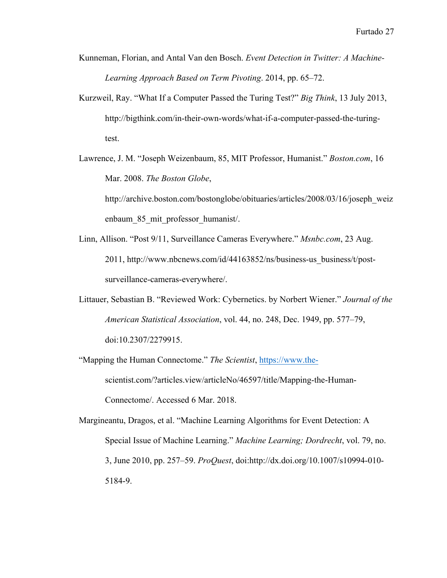- Kunneman, Florian, and Antal Van den Bosch. *Event Detection in Twitter: A Machine-Learning Approach Based on Term Pivoting*. 2014, pp. 65–72.
- Kurzweil, Ray. "What If a Computer Passed the Turing Test?" *Big Think*, 13 July 2013, http://bigthink.com/in-their-own-words/what-if-a-computer-passed-the-turingtest.

Lawrence, J. M. "Joseph Weizenbaum, 85, MIT Professor, Humanist." *Boston.com*, 16 Mar. 2008. *The Boston Globe*, http://archive.boston.com/bostonglobe/obituaries/articles/2008/03/16/joseph\_weiz

enbaum 85 mit professor humanist/.

- Linn, Allison. "Post 9/11, Surveillance Cameras Everywhere." *Msnbc.com*, 23 Aug. 2011, http://www.nbcnews.com/id/44163852/ns/business-us\_business/t/postsurveillance-cameras-everywhere/.
- Littauer, Sebastian B. "Reviewed Work: Cybernetics. by Norbert Wiener." *Journal of the American Statistical Association*, vol. 44, no. 248, Dec. 1949, pp. 577–79, doi:10.2307/2279915.
- "Mapping the Human Connectome." *The Scientist*, https://www.thescientist.com/?articles.view/articleNo/46597/title/Mapping-the-Human-Connectome/. Accessed 6 Mar. 2018.

Margineantu, Dragos, et al. "Machine Learning Algorithms for Event Detection: A Special Issue of Machine Learning." *Machine Learning; Dordrecht*, vol. 79, no. 3, June 2010, pp. 257–59. *ProQuest*, doi:http://dx.doi.org/10.1007/s10994-010- 5184-9.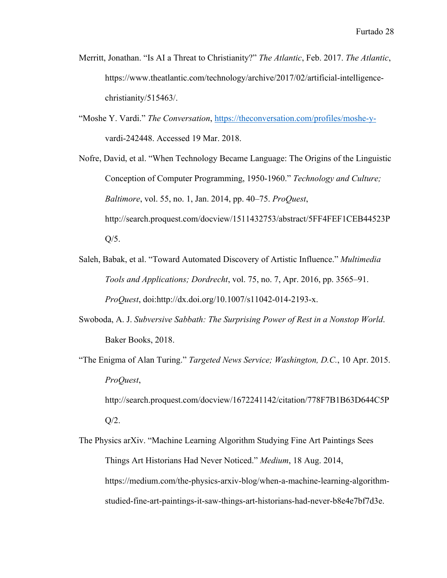- Merritt, Jonathan. "Is AI a Threat to Christianity?" *The Atlantic*, Feb. 2017. *The Atlantic*, https://www.theatlantic.com/technology/archive/2017/02/artificial-intelligencechristianity/515463/.
- "Moshe Y. Vardi." *The Conversation*, https://theconversation.com/profiles/moshe-yvardi-242448. Accessed 19 Mar. 2018.
- Nofre, David, et al. "When Technology Became Language: The Origins of the Linguistic Conception of Computer Programming, 1950-1960." *Technology and Culture; Baltimore*, vol. 55, no. 1, Jan. 2014, pp. 40–75. *ProQuest*, http://search.proquest.com/docview/1511432753/abstract/5FF4FEF1CEB44523P  $Q/5$ .
- Saleh, Babak, et al. "Toward Automated Discovery of Artistic Influence." *Multimedia Tools and Applications; Dordrecht*, vol. 75, no. 7, Apr. 2016, pp. 3565–91. *ProQuest*, doi:http://dx.doi.org/10.1007/s11042-014-2193-x.
- Swoboda, A. J. *Subversive Sabbath: The Surprising Power of Rest in a Nonstop World*. Baker Books, 2018.
- "The Enigma of Alan Turing." *Targeted News Service; Washington, D.C.*, 10 Apr. 2015. *ProQuest*, http://search.proquest.com/docview/1672241142/citation/778F7B1B63D644C5P  $Q/2$ .
- The Physics arXiv. "Machine Learning Algorithm Studying Fine Art Paintings Sees Things Art Historians Had Never Noticed." *Medium*, 18 Aug. 2014, https://medium.com/the-physics-arxiv-blog/when-a-machine-learning-algorithmstudied-fine-art-paintings-it-saw-things-art-historians-had-never-b8e4e7bf7d3e.